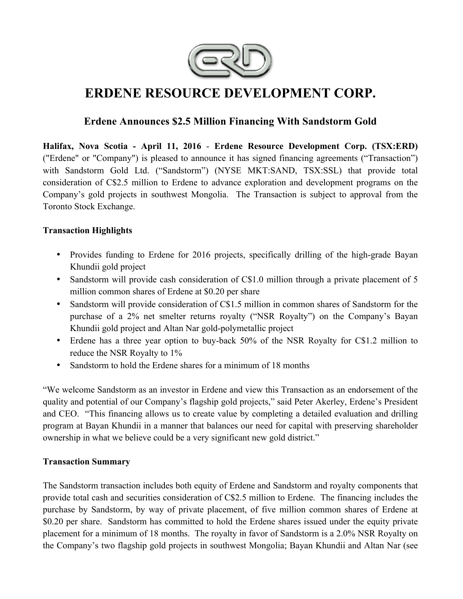

# **ERDENE RESOURCE DEVELOPMENT CORP.**

# **Erdene Announces \$2.5 Million Financing With Sandstorm Gold**

**Halifax, Nova Scotia - April 11, 2016** - **Erdene Resource Development Corp. (TSX:ERD)**  ("Erdene" or "Company") is pleased to announce it has signed financing agreements ("Transaction") with Sandstorm Gold Ltd. ("Sandstorm") (NYSE MKT:SAND, TSX:SSL) that provide total consideration of C\$2.5 million to Erdene to advance exploration and development programs on the Company's gold projects in southwest Mongolia. The Transaction is subject to approval from the Toronto Stock Exchange.

# **Transaction Highlights**

- Provides funding to Erdene for 2016 projects, specifically drilling of the high-grade Bayan Khundii gold project
- Sandstorm will provide cash consideration of C\$1.0 million through a private placement of 5 million common shares of Erdene at \$0.20 per share
- Sandstorm will provide consideration of C\$1.5 million in common shares of Sandstorm for the purchase of a 2% net smelter returns royalty ("NSR Royalty") on the Company's Bayan Khundii gold project and Altan Nar gold-polymetallic project
- Erdene has a three year option to buy-back 50% of the NSR Royalty for C\$1.2 million to reduce the NSR Royalty to 1%
- Sandstorm to hold the Erdene shares for a minimum of 18 months

"We welcome Sandstorm as an investor in Erdene and view this Transaction as an endorsement of the quality and potential of our Company's flagship gold projects," said Peter Akerley, Erdene's President and CEO. "This financing allows us to create value by completing a detailed evaluation and drilling program at Bayan Khundii in a manner that balances our need for capital with preserving shareholder ownership in what we believe could be a very significant new gold district."

# **Transaction Summary**

The Sandstorm transaction includes both equity of Erdene and Sandstorm and royalty components that provide total cash and securities consideration of C\$2.5 million to Erdene. The financing includes the purchase by Sandstorm, by way of private placement, of five million common shares of Erdene at \$0.20 per share. Sandstorm has committed to hold the Erdene shares issued under the equity private placement for a minimum of 18 months. The royalty in favor of Sandstorm is a 2.0% NSR Royalty on the Company's two flagship gold projects in southwest Mongolia; Bayan Khundii and Altan Nar (see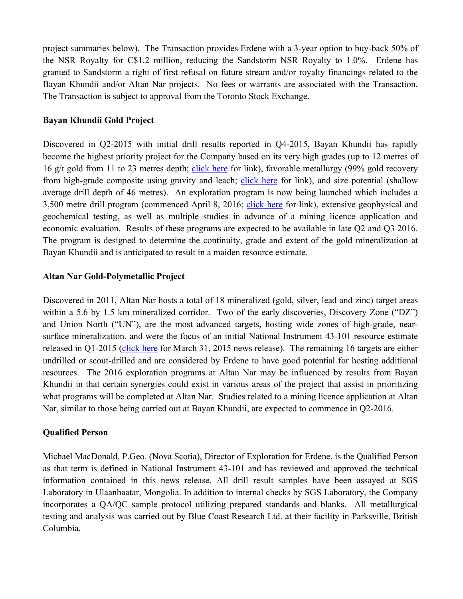project summaries below). The Transaction provides Erdene with a 3-year option to buy-back 50% of the NSR Royalty for C\$1.2 million, reducing the Sandstorm NSR Royalty to 1.0%. Erdene has granted to Sandstorm a right of first refusal on future stream and/or royalty financings related to the Bayan Khundii and/or Altan Nar projects. No fees or warrants are associated with the Transaction. The Transaction is subject to approval from the Toronto Stock Exchange.

## **Bayan Khundii Gold Project**

Discovered in Q2-2015 with initial drill results reported in Q4-2015, Bayan Khundii has rapidly become the highest priority project for the Company based on its very high grades (up to 12 metres of 16 g/t gold from 11 to 23 metres depth; click here for link), favorable metallurgy (99% gold recovery from high-grade composite using gravity and leach; click here for link), and size potential (shallow average drill depth of 46 metres). An exploration program is now being launched which includes a 3,500 metre drill program (commenced April 8, 2016; click here for link), extensive geophysical and geochemical testing, as well as multiple studies in advance of a mining licence application and economic evaluation. Results of these programs are expected to be available in late Q2 and Q3 2016. The program is designed to determine the continuity, grade and extent of the gold mineralization at Bayan Khundii and is anticipated to result in a maiden resource estimate.

## **Altan Nar Gold-Polymetallic Project**

Discovered in 2011, Altan Nar hosts a total of 18 mineralized (gold, silver, lead and zinc) target areas within a 5.6 by 1.5 km mineralized corridor. Two of the early discoveries, Discovery Zone ("DZ") and Union North ("UN"), are the most advanced targets, hosting wide zones of high-grade, nearsurface mineralization, and were the focus of an initial National Instrument 43-101 resource estimate released in Q1-2015 (click here for March 31, 2015 news release). The remaining 16 targets are either undrilled or scout-drilled and are considered by Erdene to have good potential for hosting additional resources. The 2016 exploration programs at Altan Nar may be influenced by results from Bayan Khundii in that certain synergies could exist in various areas of the project that assist in prioritizing what programs will be completed at Altan Nar. Studies related to a mining licence application at Altan Nar, similar to those being carried out at Bayan Khundii, are expected to commence in Q2-2016.

#### **Qualified Person**

Michael MacDonald, P.Geo. (Nova Scotia), Director of Exploration for Erdene, is the Qualified Person as that term is defined in National Instrument 43-101 and has reviewed and approved the technical information contained in this news release. All drill result samples have been assayed at SGS Laboratory in Ulaanbaatar, Mongolia. In addition to internal checks by SGS Laboratory, the Company incorporates a QA/QC sample protocol utilizing prepared standards and blanks. All metallurgical testing and analysis was carried out by Blue Coast Research Ltd. at their facility in Parksville, British Columbia.